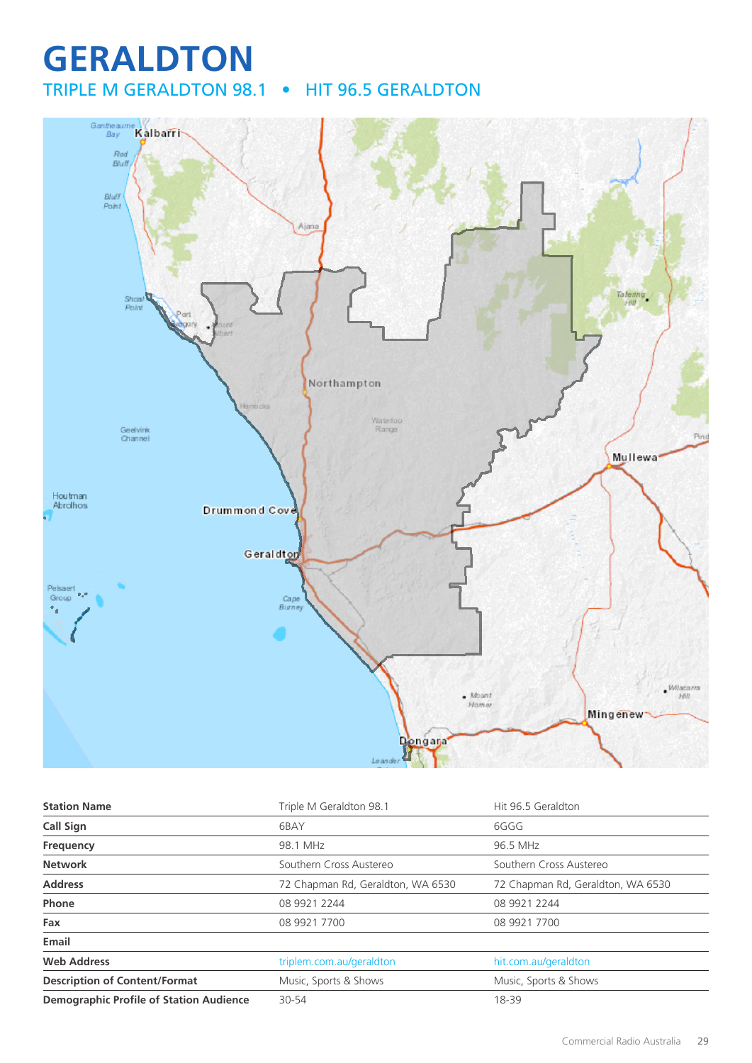## **GERALDTON** TRIPLE M GERALDTON 98.1 • HIT 96.5 GERALDTON



| <b>Station Name</b>                            | Triple M Geraldton 98.1           | Hit 96.5 Geraldton                |
|------------------------------------------------|-----------------------------------|-----------------------------------|
| <b>Call Sign</b>                               | 6BAY                              | 6GGG                              |
| Frequency                                      | 98.1 MHz                          | 96.5 MHz                          |
| <b>Network</b>                                 | Southern Cross Austereo           | Southern Cross Austereo           |
| <b>Address</b>                                 | 72 Chapman Rd, Geraldton, WA 6530 | 72 Chapman Rd, Geraldton, WA 6530 |
| Phone                                          | 08 9921 2244                      | 08 9921 2244                      |
| Fax                                            | 08 9921 7700                      | 08 9921 7700                      |
| Email                                          |                                   |                                   |
| <b>Web Address</b>                             | triplem.com.au/geraldton          | hit.com.au/geraldton              |
| <b>Description of Content/Format</b>           | Music, Sports & Shows             | Music, Sports & Shows             |
| <b>Demographic Profile of Station Audience</b> | 30-54                             | 18-39                             |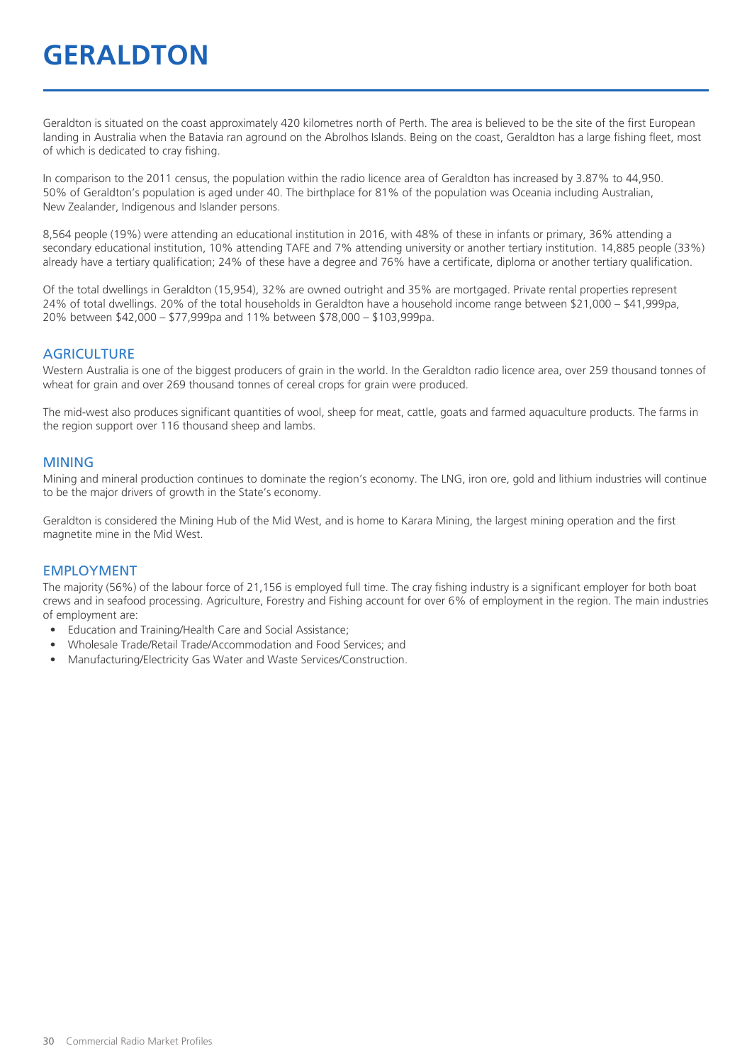# **GERALDTON**

Geraldton is situated on the coast approximately 420 kilometres north of Perth. The area is believed to be the site of the first European landing in Australia when the Batavia ran aground on the Abrolhos Islands. Being on the coast, Geraldton has a large fishing fleet, most of which is dedicated to cray fishing.

In comparison to the 2011 census, the population within the radio licence area of Geraldton has increased by 3.87% to 44,950. 50% of Geraldton's population is aged under 40. The birthplace for 81% of the population was Oceania including Australian, New Zealander, Indigenous and Islander persons.

8,564 people (19%) were attending an educational institution in 2016, with 48% of these in infants or primary, 36% attending a secondary educational institution, 10% attending TAFE and 7% attending university or another tertiary institution. 14,885 people (33%) already have a tertiary qualification; 24% of these have a degree and 76% have a certificate, diploma or another tertiary qualification.

Of the total dwellings in Geraldton (15,954), 32% are owned outright and 35% are mortgaged. Private rental properties represent 24% of total dwellings. 20% of the total households in Geraldton have a household income range between \$21,000 – \$41,999pa, 20% between \$42,000 – \$77,999pa and 11% between \$78,000 – \$103,999pa.

#### **AGRICULTURE**

Western Australia is one of the biggest producers of grain in the world. In the Geraldton radio licence area, over 259 thousand tonnes of wheat for grain and over 269 thousand tonnes of cereal crops for grain were produced.

The mid-west also produces significant quantities of wool, sheep for meat, cattle, goats and farmed aquaculture products. The farms in the region support over 116 thousand sheep and lambs.

#### MINING

Mining and mineral production continues to dominate the region's economy. The LNG, iron ore, gold and lithium industries will continue to be the major drivers of growth in the State's economy.

Geraldton is considered the Mining Hub of the Mid West, and is home to Karara Mining, the largest mining operation and the first magnetite mine in the Mid West.

#### EMPLOYMENT

The majority (56%) of the labour force of 21,156 is employed full time. The cray fishing industry is a significant employer for both boat crews and in seafood processing. Agriculture, Forestry and Fishing account for over 6% of employment in the region. The main industries of employment are:

- Education and Training/Health Care and Social Assistance;
- Wholesale Trade/Retail Trade/Accommodation and Food Services; and
- Manufacturing/Electricity Gas Water and Waste Services/Construction.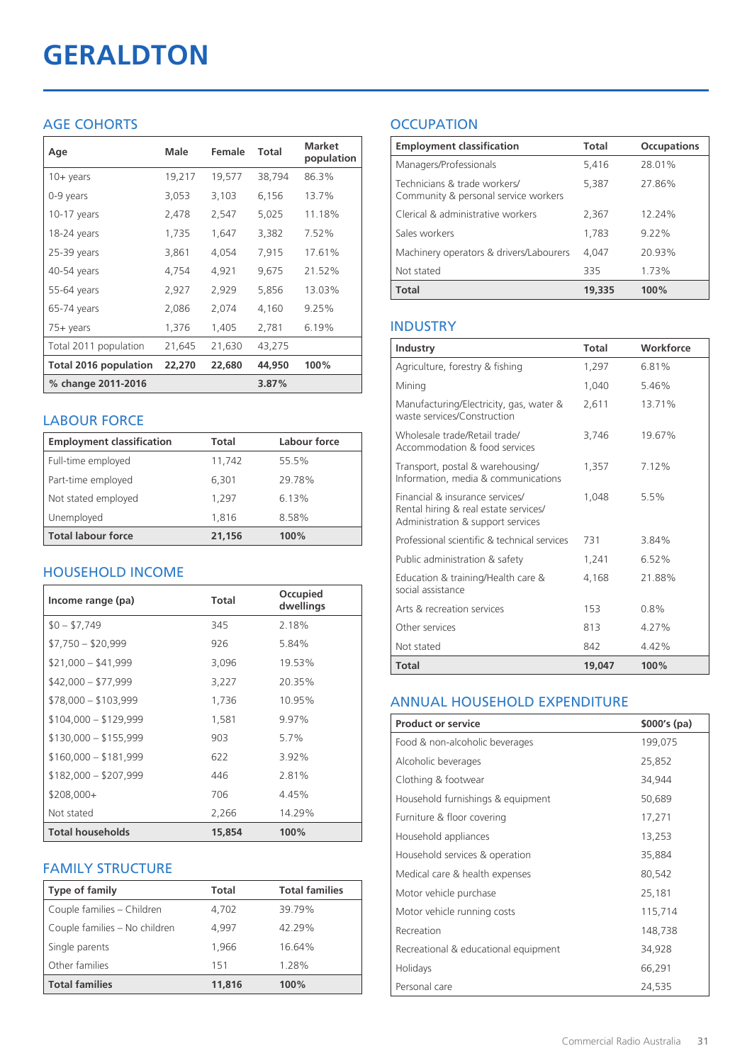# **GERALDTON**

### AGE COHORTS

| Age                   | Male   | Female | Total  | <b>Market</b><br>population |
|-----------------------|--------|--------|--------|-----------------------------|
| $10 + \gamma$ ears    | 19,217 | 19,577 | 38,794 | 86.3%                       |
| 0-9 years             | 3,053  | 3,103  | 6,156  | 13.7%                       |
| $10-17$ years         | 2,478  | 2,547  | 5,025  | 11.18%                      |
| 18-24 years           | 1,735  | 1,647  | 3,382  | 7.52%                       |
| 25-39 years           | 3,861  | 4,054  | 7,915  | 17.61%                      |
| 40-54 years           | 4,754  | 4,921  | 9,675  | 21.52%                      |
| 55-64 years           | 2,927  | 2,929  | 5,856  | 13.03%                      |
| 65-74 years           | 2,086  | 2,074  | 4,160  | 9.25%                       |
| $75+$ years           | 1,376  | 1,405  | 2,781  | 6.19%                       |
| Total 2011 population | 21,645 | 21,630 | 43,275 |                             |
| Total 2016 population | 22,270 | 22,680 | 44,950 | 100%                        |
| % change 2011-2016    |        |        | 3.87%  |                             |

### LABOUR FORCE

| <b>Employment classification</b> | Total  | Labour force |
|----------------------------------|--------|--------------|
| Full-time employed               | 11,742 | 55.5%        |
| Part-time employed               | 6,301  | 29.78%       |
| Not stated employed              | 1.297  | 6.13%        |
| Unemployed                       | 1.816  | 8.58%        |
| <b>Total labour force</b>        | 21,156 | 100%         |

### HOUSEHOLD INCOME

| Income range (pa)       | Total  | Occupied<br>dwellings |
|-------------------------|--------|-----------------------|
| $$0 - $7,749$           | 345    | 2.18%                 |
| $$7,750 - $20,999$      | 926    | 5.84%                 |
| $$21,000 - $41,999$     | 3,096  | 19.53%                |
| $$42,000 - $77,999$     | 3,227  | 20.35%                |
| $$78,000 - $103,999$    | 1,736  | 10.95%                |
| $$104,000 - $129,999$   | 1,581  | 9.97%                 |
| $$130,000 - $155,999$   | 903    | 5.7%                  |
| $$160,000 - $181,999$   | 622    | 3.92%                 |
| $$182,000 - $207,999$   | 446    | 2.81%                 |
| $$208,000+$             | 706    | 4.45%                 |
| Not stated              | 2,266  | 14.29%                |
| <b>Total households</b> | 15,854 | 100%                  |

### FAMILY STRUCTURE

| <b>Type of family</b>         | <b>Total</b> | <b>Total families</b> |
|-------------------------------|--------------|-----------------------|
| Couple families - Children    | 4,702        | 39.79%                |
| Couple families - No children | 4.997        | 42.29%                |
| Single parents                | 1.966        | 16.64%                |
| Other families                | 151          | 1.28%                 |
| <b>Total families</b>         | 11,816       | 100%                  |

## **OCCUPATION**

| <b>Employment classification</b>                                     | Total  | <b>Occupations</b> |
|----------------------------------------------------------------------|--------|--------------------|
| Managers/Professionals                                               | 5,416  | 28.01%             |
| Technicians & trade workers/<br>Community & personal service workers | 5,387  | 27.86%             |
| Clerical & administrative workers                                    | 2,367  | 12.24%             |
| Sales workers                                                        | 1,783  | $9.22\%$           |
| Machinery operators & drivers/Labourers                              | 4.047  | 20.93%             |
| Not stated                                                           | 335    | 1.73%              |
| <b>Total</b>                                                         | 19,335 | 100%               |

#### INDUSTRY

| Industry                                                                                                      | Total  | Workforce |
|---------------------------------------------------------------------------------------------------------------|--------|-----------|
| Agriculture, forestry & fishing                                                                               | 1,297  | 6.81%     |
| Mining                                                                                                        | 1,040  | 5.46%     |
| Manufacturing/Electricity, gas, water &<br>waste services/Construction                                        | 2,611  | 13.71%    |
| Wholesale trade/Retail trade/<br>Accommodation & food services                                                | 3,746  | 19.67%    |
| Transport, postal & warehousing/<br>Information, media & communications                                       | 1,357  | 7.12%     |
| Financial & insurance services/<br>Rental hiring & real estate services/<br>Administration & support services | 1.048  | 5.5%      |
| Professional scientific & technical services                                                                  | 731    | 3.84%     |
| Public administration & safety                                                                                | 1,241  | 6.52%     |
| Education & training/Health care &<br>social assistance                                                       | 4,168  | 21.88%    |
| Arts & recreation services                                                                                    | 153    | 0.8%      |
| Other services                                                                                                | 813    | 4.27%     |
| Not stated                                                                                                    | 842    | 4.42%     |
| Total                                                                                                         | 19,047 | 100%      |

#### ANNUAL HOUSEHOLD EXPENDITURE

| <b>Product or service</b>            | $$000's$ (pa) |
|--------------------------------------|---------------|
| Food & non-alcoholic beverages       | 199,075       |
| Alcoholic beverages                  | 25,852        |
| Clothing & footwear                  | 34,944        |
| Household furnishings & equipment    | 50,689        |
| Furniture & floor covering           | 17,271        |
| Household appliances                 | 13,253        |
| Household services & operation       | 35,884        |
| Medical care & health expenses       | 80,542        |
| Motor vehicle purchase               | 25,181        |
| Motor vehicle running costs          | 115,714       |
| Recreation                           | 148,738       |
| Recreational & educational equipment | 34,928        |
| Holidays                             | 66,291        |
| Personal care                        | 24,535        |